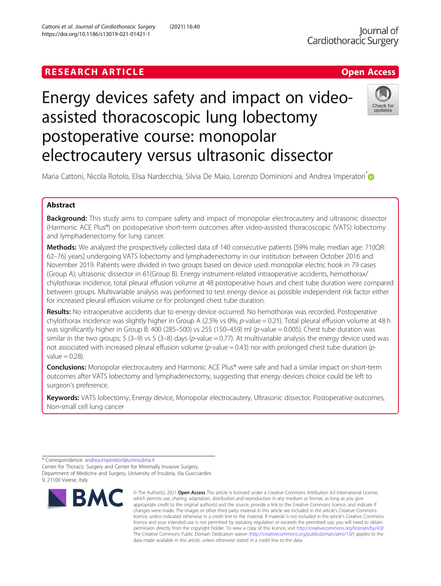## Cattoni et al. Journal of Cardiothoracic Surgery (2021) 16:40 https://doi.org/10.1186/s13019-021-01421-1

# Energy devices safety and impact on videoassisted thoracoscopic lung lobectomy postoperative course: monopolar electrocautery versus ultrasonic dissector



Maria Cattoni, Nicola Rotolo, Elisa Nardecchia, Silvia De Maio, Lorenzo Dominioni and Andrea Imperatori<sup>\*</sup>

## Abstract

Background: This study aims to compare safety and impact of monopolar electrocautery and ultrasonic dissector (Harmonic ACE Plus®) on postoperative short-term outcomes after video-assisted thoracoscopic (VATS) lobectomy and lymphadenectomy for lung cancer.

Methods: We analyzed the prospectively collected data of 140 consecutive patients [59% male; median age: 71(IQR: 62–76) years] undergoing VATS lobectomy and lymphadenectomy in our institution between October 2016 and November 2019. Patients were divided in two groups based on device used: monopolar electric hook in 79 cases (Group A); ultrasonic dissector in 61(Group B). Energy instrument-related intraoperative accidents, hemothorax/ chylothorax incidence, total pleural effusion volume at 48 postoperative hours and chest tube duration were compared between groups. Multivariable analysis was performed to test energy device as possible independent risk factor either for increased pleural effusion volume or for prolonged chest tube duration.

Results: No intraoperative accidents due to energy device occurred. No hemothorax was recorded. Postoperative chylothorax incidence was slightly higher in Group A (2.5% vs 0%; p-value = 0.21). Total pleural effusion volume at 48 h was significantly higher in Group B: 400 (285–500) vs 255 (150–459) ml (p-value = 0.005). Chest tube duration was similar in the two groups:  $5$  (3-9) vs  $5$  (3-8) days (p-value = 0.77). At multivariable analysis the energy device used was not associated with increased pleural effusion volume (p-value = 0.43) nor with prolonged chest tube duration (pvalue  $= 0.28$ ).

Conclusions: Monopolar electrocautery and Harmonic ACE Plus® were safe and had a similar impact on short-term outcomes after VATS lobectomy and lymphadenectomy, suggesting that energy devices choice could be left to surgeon's preference.

Keywords: VATS lobectomy, Energy device, Monopolar electrocautery, Ultrasonic dissector, Postoperative outcomes, Non-small cell lung cancer

\* Correspondence: [andrea.imperatori@uninsubria.it](mailto:andrea.imperatori@uninsubria.it)

Center for Thoracic Surgery and Center for Minimally Invasive Surgery, Department of Medicine and Surgery, University of Insubria, Via Guicciardini 9, 21100 Varese, Italy



<sup>©</sup> The Author(s), 2021 **Open Access** This article is licensed under a Creative Commons Attribution 4.0 International License, which permits use, sharing, adaptation, distribution and reproduction in any medium or format, as long as you give appropriate credit to the original author(s) and the source, provide a link to the Creative Commons licence, and indicate if changes were made. The images or other third party material in this article are included in the article's Creative Commons licence, unless indicated otherwise in a credit line to the material. If material is not included in the article's Creative Commons licence and your intended use is not permitted by statutory regulation or exceeds the permitted use, you will need to obtain permission directly from the copyright holder. To view a copy of this licence, visit [http://creativecommons.org/licenses/by/4.0/.](http://creativecommons.org/licenses/by/4.0/) The Creative Commons Public Domain Dedication waiver [\(http://creativecommons.org/publicdomain/zero/1.0/](http://creativecommons.org/publicdomain/zero/1.0/)) applies to the data made available in this article, unless otherwise stated in a credit line to the data.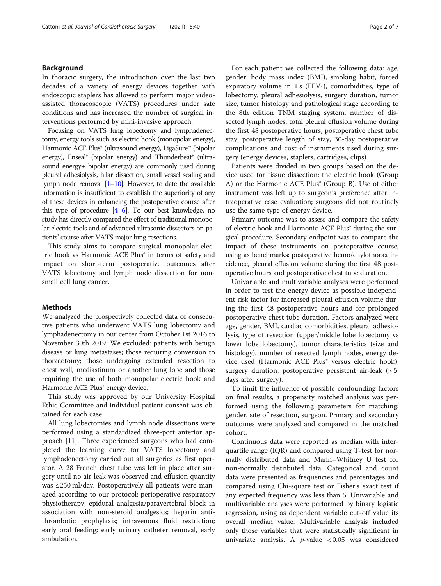#### Background

In thoracic surgery, the introduction over the last two decades of a variety of energy devices together with endoscopic staplers has allowed to perform major videoassisted thoracoscopic (VATS) procedures under safe conditions and has increased the number of surgical interventions performed by mini-invasive approach.

Focusing on VATS lung lobectomy and lymphadenectomy, energy tools such as electric hook (monopolar energy), Harmonic ACE Plus® (ultrasound energy), LigaSure™ (bipolar energy), Enseal® (bipolar energy) and Thunderbeat® (ultrasound energy+ bipolar energy) are commonly used during pleural adhesiolysis, hilar dissection, small vessel sealing and lymph node removal  $[1–10]$  $[1–10]$  $[1–10]$ . However, to date the available information is insufficient to establish the superiority of any of these devices in enhancing the postoperative course after this type of procedure  $[4-6]$  $[4-6]$  $[4-6]$  $[4-6]$ . To our best knowledge, no study has directly compared the effect of traditional monopolar electric tools and of advanced ultrasonic dissectors on patients' course after VATS major lung resections.

This study aims to compare surgical monopolar electric hook vs Harmonic ACE Plus® in terms of safety and impact on short-term postoperative outcomes after VATS lobectomy and lymph node dissection for nonsmall cell lung cancer.

#### Methods

We analyzed the prospectively collected data of consecutive patients who underwent VATS lung lobectomy and lymphadenectomy in our center from October 1st 2016 to November 30th 2019. We excluded: patients with benign disease or lung metastases; those requiring conversion to thoracotomy; those undergoing extended resection to chest wall, mediastinum or another lung lobe and those requiring the use of both monopolar electric hook and Harmonic ACE Plus<sup>®</sup> energy device.

This study was approved by our University Hospital Ethic Committee and individual patient consent was obtained for each case.

All lung lobectomies and lymph node dissections were performed using a standardized three-port anterior approach [[11](#page-6-0)]. Three experienced surgeons who had completed the learning curve for VATS lobectomy and lymphadenectomy carried out all surgeries as first operator. A 28 French chest tube was left in place after surgery until no air-leak was observed and effusion quantity was ≤250 ml/day. Postoperatively all patients were managed according to our protocol: perioperative respiratory physiotherapy; epidural analgesia/paravertebral block in association with non-steroid analgesics; heparin antithrombotic prophylaxis; intravenous fluid restriction; early oral feeding; early urinary catheter removal, early ambulation.

For each patient we collected the following data: age, gender, body mass index (BMI), smoking habit, forced expiratory volume in 1 s ( $FEV<sub>1</sub>$ ), comorbidities, type of lobectomy, pleural adhesiolysis, surgery duration, tumor size, tumor histology and pathological stage according to the 8th edition TNM staging system, number of dissected lymph nodes, total pleural effusion volume during the first 48 postoperative hours, postoperative chest tube stay, postoperative length of stay, 30-day postoperative complications and cost of instruments used during surgery (energy devices, staplers, cartridges, clips).

Patients were divided in two groups based on the device used for tissue dissection: the electric hook (Group A) or the Harmonic ACE Plus<sup>®</sup> (Group B). Use of either instrument was left up to surgeon's preference after intraoperative case evaluation; surgeons did not routinely use the same type of energy device.

Primary outcome was to assess and compare the safety of electric hook and Harmonic ACE Plus<sup>®</sup> during the surgical procedure. Secondary endpoint was to compare the impact of these instruments on postoperative course, using as benchmarks: postoperative hemo/chylothorax incidence, pleural effusion volume during the first 48 postoperative hours and postoperative chest tube duration.

Univariable and multivariable analyses were performed in order to test the energy device as possible independent risk factor for increased pleural effusion volume during the first 48 postoperative hours and for prolonged postoperative chest tube duration. Factors analyzed were age, gender, BMI, cardiac comorbidities, pleural adhesiolysis, type of resection (upper/middle lobe lobectomy vs lower lobe lobectomy), tumor characteristics (size and histology), number of resected lymph nodes, energy device used (Harmonic ACE Plus® versus electric hook), surgery duration, postoperative persistent air-leak (> 5 days after surgery).

To limit the influence of possible confounding factors on final results, a propensity matched analysis was performed using the following parameters for matching: gender, site of resection, surgeon. Primary and secondary outcomes were analyzed and compared in the matched cohort.

Continuous data were reported as median with interquartile range (IQR) and compared using T-test for normally distributed data and Mann–Whitney U test for non-normally distributed data. Categorical and count data were presented as frequencies and percentages and compared using Chi-square test or Fisher's exact test if any expected frequency was less than 5. Univariable and multivariable analyses were performed by binary logistic regression, using as dependent variable cut-off value its overall median value. Multivariable analysis included only those variables that were statistically significant in univariate analysis. A  $p$ -value < 0.05 was considered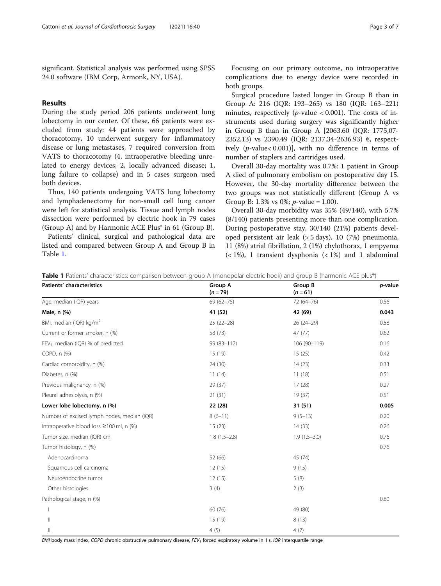significant. Statistical analysis was performed using SPSS 24.0 software (IBM Corp, Armonk, NY, USA).

#### Results

During the study period 206 patients underwent lung lobectomy in our center. Of these, 66 patients were excluded from study: 44 patients were approached by thoracotomy, 10 underwent surgery for inflammatory disease or lung metastases, 7 required conversion from VATS to thoracotomy (4, intraoperative bleeding unrelated to energy devices; 2, locally advanced disease; 1, lung failure to collapse) and in 5 cases surgeon used both devices.

Thus, 140 patients undergoing VATS lung lobectomy and lymphadenectomy for non-small cell lung cancer were left for statistical analysis. Tissue and lymph nodes dissection were performed by electric hook in 79 cases (Group A) and by Harmonic ACE Plus® in 61 (Group B).

Patients' clinical, surgical and pathological data are listed and compared between Group A and Group B in Table 1.

Focusing on our primary outcome, no intraoperative complications due to energy device were recorded in both groups.

Surgical procedure lasted longer in Group B than in Group A: 216 (IQR: 193–265) vs 180 (IQR: 163–221) minutes, respectively ( $p$ -value < 0.001). The costs of instruments used during surgery was significantly higher in Group B than in Group A [2063.60 (IQR: 1775,07- 2352,13) vs 2390.49 (IQR: 2137,34-2636.93) €, respectively (p-value< 0.001)], with no difference in terms of number of staplers and cartridges used.

Overall 30-day mortality was 0.7%: 1 patient in Group A died of pulmonary embolism on postoperative day 15. However, the 30-day mortality difference between the two groups was not statistically different (Group A vs Group B: 1.3% vs 0%;  $p$ -value = 1.00).

Overall 30-day morbidity was 35% (49/140), with 5.7% (8/140) patients presenting more than one complication. During postoperative stay, 30/140 (21%) patients developed persistent air leak (> 5 days), 10 (7%) pneumonia, 11 (8%) atrial fibrillation, 2 (1%) chylothorax, 1 empyema  $(< 1\%)$ , 1 transient dysphonia  $(< 1\%)$  and 1 abdominal

| Table 1 Patients' characteristics: comparison between group A (monopolar electric hook) and group B (harmonic ACE plus®) |  |  |  |
|--------------------------------------------------------------------------------------------------------------------------|--|--|--|
|--------------------------------------------------------------------------------------------------------------------------|--|--|--|

| <b>Patients' characteristics</b>               | <b>Group A</b><br>$(n = 79)$ | Group B<br>$(n = 61)$ | p-value |
|------------------------------------------------|------------------------------|-----------------------|---------|
| Age, median (IQR) years                        | $69(62 - 75)$                | 72 (64-76)            | 0.56    |
| Male, n (%)                                    | 41 (52)                      | 42 (69)               | 0.043   |
| BMI, median (IQR) kg/m <sup>2</sup>            | $25(22-28)$                  | 26 (24-29)            | 0.58    |
| Current or former smoker, n (%)                | 58 (73)                      | 47 (77)               | 0.62    |
| FEV <sub>1</sub> , median (IQR) % of predicted | 99 (83-112)                  | 106 (90-119)          | 0.16    |
| COPD, n (%)                                    | 15 (19)                      | 15(25)                | 0.42    |
| Cardiac comorbidity, n (%)                     | 24 (30)                      | 14(23)                | 0.33    |
| Diabetes, n (%)                                | 11(14)                       | 11(18)                | 0.51    |
| Previous malignancy, n (%)                     | 29 (37)                      | 17(28)                | 0.27    |
| Pleural adhesiolysis, n (%)                    | 21(31)                       | 19(37)                | 0.51    |
| Lower lobe lobectomy, n (%)                    | 22 (28)                      | 31 (51)               | 0.005   |
| Number of excised lymph nodes, median (IQR)    | $8(6-11)$                    | $9(5-13)$             | 0.20    |
| Intraoperative blood loss ≥100 ml, n (%)       | 15(23)                       | 14(33)                | 0.26    |
| Tumor size, median (IQR) cm                    | $1.8(1.5-2.8)$               | $1.9(1.5-3.0)$        | 0.76    |
| Tumor histology, n (%)                         |                              |                       | 0.76    |
| Adenocarcinoma                                 | 52 (66)                      | 45 (74)               |         |
| Squamous cell carcinoma                        | 12(15)                       | 9(15)                 |         |
| Neuroendocrine tumor                           | 12(15)                       | 5(8)                  |         |
| Other histologies                              | 3(4)                         | 2(3)                  |         |
| Pathological stage, n (%)                      |                              |                       | 0.80    |
|                                                | 60 (76)                      | 49 (80)               |         |
| $\begin{array}{c} \hline \end{array}$          | 15 (19)                      | 8(13)                 |         |
| Ш                                              | 4(5)                         | 4(7)                  |         |

BMI body mass index, COPD chronic obstructive pulmonary disease, FEV<sub>1</sub> forced expiratory volume in 1 s, IQR interquartile range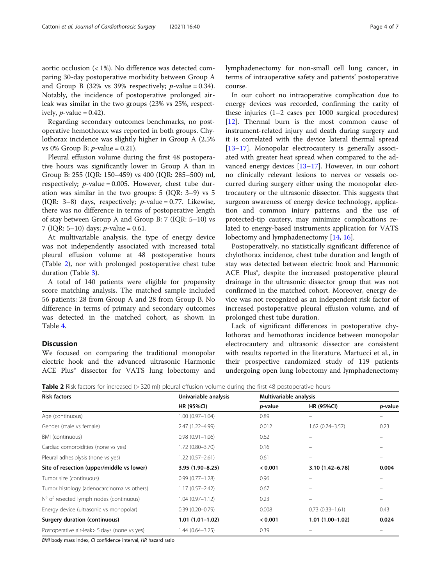aortic occlusion (< 1%). No difference was detected comparing 30-day postoperative morbidity between Group A and Group B (32% vs 39% respectively;  $p$ -value = 0.34). Notably, the incidence of postoperative prolonged airleak was similar in the two groups (23% vs 25%, respectively,  $p$ -value = 0.42).

Regarding secondary outcomes benchmarks, no postoperative hemothorax was reported in both groups. Chylothorax incidence was slightly higher in Group A (2.5% vs 0% Group B;  $p$ -value = 0.21).

Pleural effusion volume during the first 48 postoperative hours was significantly lower in Group A than in Group B: 255 (IQR: 150–459) vs 400 (IQR: 285–500) ml, respectively;  $p$ -value = 0.005. However, chest tube duration was similar in the two groups: 5 (IQR: 3–9) vs 5 (IQR: 3–8) days, respectively;  $p$ -value = 0.77. Likewise, there was no difference in terms of postoperative length of stay between Group A and Group B: 7 (IQR: 5–10) vs 7 (IOR:  $5-10$ ) days; *p*-value = 0.61.

At multivariable analysis, the type of energy device was not independently associated with increased total pleural effusion volume at 48 postoperative hours (Table 2), nor with prolonged postoperative chest tube duration (Table [3\)](#page-4-0).

A total of 140 patients were eligible for propensity score matching analysis. The matched sample included 56 patients: 28 from Group A and 28 from Group B. No difference in terms of primary and secondary outcomes was detected in the matched cohort, as shown in Table [4.](#page-4-0)

#### **Discussion**

We focused on comparing the traditional monopolar electric hook and the advanced ultrasonic Harmonic ACE Plus<sup>®</sup> dissector for VATS lung lobectomy and lymphadenectomy for non-small cell lung cancer, in terms of intraoperative safety and patients' postoperative course.

In our cohort no intraoperative complication due to energy devices was recorded, confirming the rarity of these injuries (1–2 cases per 1000 surgical procedures) [[12\]](#page-6-0). Thermal burn is the most common cause of instrument-related injury and death during surgery and it is correlated with the device lateral thermal spread [[13](#page-6-0)–[17](#page-6-0)]. Monopolar electrocautery is generally associated with greater heat spread when compared to the advanced energy devices [\[13](#page-6-0)–[17\]](#page-6-0). However, in our cohort no clinically relevant lesions to nerves or vessels occurred during surgery either using the monopolar electrocautery or the ultrasonic dissector. This suggests that surgeon awareness of energy device technology, application and common injury patterns, and the use of protected-tip cautery, may minimize complications related to energy-based instruments application for VATS lobectomy and lymphadenectomy [[14,](#page-6-0) [16\]](#page-6-0).

Postoperatively, no statistically significant difference of chylothorax incidence, chest tube duration and length of stay was detected between electric hook and Harmonic ACE Plus®, despite the increased postoperative pleural drainage in the ultrasonic dissector group that was not confirmed in the matched cohort. Moreover, energy device was not recognized as an independent risk factor of increased postoperative pleural effusion volume, and of prolonged chest tube duration.

Lack of significant differences in postoperative chylothorax and hemothorax incidence between monopolar electrocautery and ultrasonic dissector are consistent with results reported in the literature. Martucci et al., in their prospective randomized study of 119 patients undergoing open lung lobectomy and lymphadenectomy

Table 2 Risk factors for increased (> 320 ml) pleural effusion volume during the first 48 postoperative hours

| <b>Risk factors</b>                           | Univariable analysis<br><b>HR (95%CI)</b> | Multivariable analysis |                     |         |
|-----------------------------------------------|-------------------------------------------|------------------------|---------------------|---------|
|                                               |                                           | <i>p</i> -value        | <b>HR (95%CI)</b>   | p-value |
| Age (continuous)                              | $1.00(0.97 - 1.04)$                       | 0.89                   | $\qquad \qquad -$   |         |
| Gender (male vs female)                       | 2.47 (1.22-4.99)                          | 0.012                  | $1.62(0.74 - 3.57)$ | 0.23    |
| BMI (continuous)                              | $0.98(0.91 - 1.06)$                       | 0.62                   |                     |         |
| Cardiac comorbidities (none vs yes)           | $1.72(0.80 - 3.70)$                       | 0.16                   |                     |         |
| Pleural adhesiolysis (none vs yes)            | $1.22(0.57 - 2.61)$                       | 0.61                   | $\equiv$            |         |
| Site of resection (upper/middle vs lower)     | 3.95 (1.90-8.25)                          | < 0.001                | 3.10 (1.42-6.78)    | 0.004   |
| Tumor size (continuous)                       | $0.99(0.77 - 1.28)$                       | 0.96                   |                     |         |
| Tumor histology (adenocarcinoma vs others)    | $1.17(0.57 - 2.42)$                       | 0.67                   |                     |         |
| N° of resected lymph nodes (continuous)       | $1.04(0.97 - 1.12)$                       | 0.23                   |                     |         |
| Energy device (ultrasonic vs monopolar)       | $0.39(0.20 - 0.79)$                       | 0.008                  | $0.73(0.33 - 1.61)$ | 0.43    |
| Surgery duration (continuous)                 | $1.01(1.01-1.02)$                         | < 0.001                | $1.01(1.00-1.02)$   | 0.024   |
| Postoperative air-leak > 5 days (none vs yes) | 1.44 (0.64-3.25)                          | 0.39                   |                     |         |

BMI body mass index, CI confidence interval, HR hazard ratio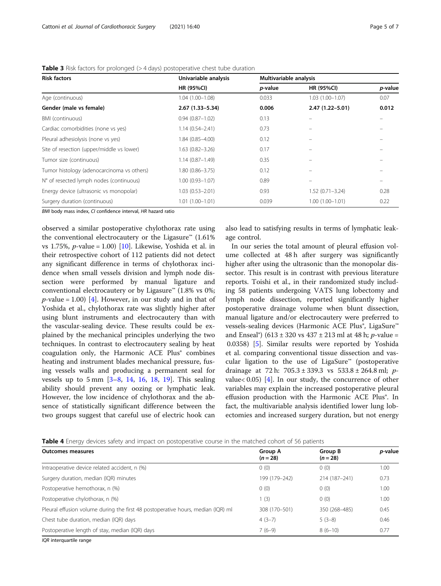| <b>Risk factors</b>                        | Univariable analysis<br><b>HR (95%CI)</b> | Multivariable analysis |                     |         |
|--------------------------------------------|-------------------------------------------|------------------------|---------------------|---------|
|                                            |                                           | p-value                | <b>HR (95%CI)</b>   | p-value |
| Age (continuous)                           | $1.04(1.00 - 1.08)$                       | 0.033                  | $1.03(1.00 - 1.07)$ | 0.07    |
| Gender (male vs female)                    | $2.67(1.33 - 5.34)$                       | 0.006                  | $2.47(1.22 - 5.01)$ | 0.012   |
| BMI (continuous)                           | $0.94(0.87 - 1.02)$                       | 0.13                   | $\equiv$            |         |
| Cardiac comorbidities (none vs yes)        | $1.14(0.54 - 2.41)$                       | 0.73                   |                     |         |
| Pleural adhesiolysis (none vs yes)         | 1.84 (0.85-4.00)                          | 0.12                   |                     |         |
| Site of resection (upper/middle vs lower)  | $1.63(0.82 - 3.26)$                       | 0.17                   |                     |         |
| Tumor size (continuous)                    | $1.14(0.87 - 1.49)$                       | 0.35                   |                     |         |
| Tumor histology (adenocarcinoma vs others) | 1.80 (0.86-3.75)                          | 0.12                   |                     |         |
| N° of resected lymph nodes (continuous)    | $1.00(0.93 - 1.07)$                       | 0.89                   |                     |         |
| Energy device (ultrasonic vs monopolar)    | $1.03(0.53 - 2.01)$                       | 0.93                   | $1.52(0.71 - 3.24)$ | 0.28    |
| Surgery duration (continuous)              | $1.01(1.00 - 1.01)$                       | 0.039                  | $1.00(1.00 - 1.01)$ | 0.22    |

#### <span id="page-4-0"></span>Table 3 Risk factors for prolonged (> 4 days) postoperative chest tube duration

BMI body mass index, CI confidence interval, HR hazard ration

observed a similar postoperative chylothorax rate using the conventional electrocautery or the Ligasure<sup>™</sup> (1.61%) vs 1.75%,  $p$ -value = 1.00) [[10\]](#page-6-0). Likewise, Yoshida et al. in their retrospective cohort of 112 patients did not detect any significant difference in terms of chylothorax incidence when small vessels division and lymph node dissection were performed by manual ligature and conventional electrocautery or by Ligasure™ (1.8% vs 0%;  $p$ -value = 1.00) [[4\]](#page-5-0). However, in our study and in that of Yoshida et al., chylothorax rate was slightly higher after using blunt instruments and electrocautery than with the vascular-sealing device. These results could be explained by the mechanical principles underlying the two techniques. In contrast to electrocautery sealing by heat coagulation only, the Harmonic ACE Plus® combines heating and instrument blades mechanical pressure, fusing vessels walls and producing a permanent seal for vessels up to 5 mm [[3](#page-5-0)–[8](#page-6-0), [14](#page-6-0), [16,](#page-6-0) [18](#page-6-0), [19\]](#page-6-0). This sealing ability should prevent any oozing or lymphatic leak. However, the low incidence of chylothorax and the absence of statistically significant difference between the two groups suggest that careful use of electric hook can

also lead to satisfying results in terms of lymphatic leakage control.

In our series the total amount of pleural effusion volume collected at 48 h after surgery was significantly higher after using the ultrasonic than the monopolar dissector. This result is in contrast with previous literature reports. Toishi et al., in their randomized study including 58 patients undergoing VATS lung lobectomy and lymph node dissection, reported significantly higher postoperative drainage volume when blunt dissection, manual ligature and/or electrocautery were preferred to vessels-sealing devices (Harmonic ACE Plus®, LigaSure™ and Enseal<sup>®</sup>) (613 ± 320 vs 437 ± 213 ml at 48 h; *p*-value = 0.0358) [[5\]](#page-6-0). Similar results were reported by Yoshida et al. comparing conventional tissue dissection and vascular ligation to the use of LigaSure™ (postoperative drainage at 72 h: 705.3 ± 339.3 vs  $533.8 \pm 264.8$  ml; pvalue< 0.05) [\[4](#page-5-0)]. In our study, the concurrence of other variables may explain the increased postoperative pleural effusion production with the Harmonic ACE Plus®. In fact, the multivariable analysis identified lower lung lobectomies and increased surgery duration, but not energy

Table 4 Energy devices safety and impact on postoperative course in the matched cohort of 56 patients

| <b>Outcomes measures</b>                                                         | <b>Group A</b><br>$(n = 28)$ | Group B<br>$(n = 28)$ | p-value |
|----------------------------------------------------------------------------------|------------------------------|-----------------------|---------|
| Intraoperative device related accident, n (%)                                    | 0(0)                         | 0(0)                  | 1.00    |
| Surgery duration, median (IQR) minutes                                           | 199 (179-242)                | 214 (187-241)         | 0.73    |
| Postoperative hemothorax, n (%)                                                  | 0(0)                         | 0(0)                  | 1.00    |
| Postoperative chylothorax, n (%)                                                 | 1(3)                         | 0(0)                  | 1.00    |
| Pleural effusion volume during the first 48 postoperative hours, median (IQR) ml | 308 (170-501)                | 350 (268-485)         | 0.45    |
| Chest tube duration, median (IQR) days                                           | $4(3-7)$                     | $5(3-8)$              | 0.46    |
| Postoperative length of stay, median (IQR) days                                  | $7(6-9)$                     | $8(6-10)$             | 0.77    |
|                                                                                  |                              |                       |         |

IQR interquartile range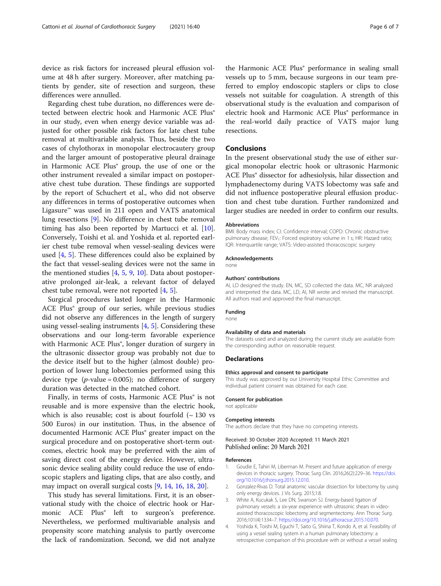<span id="page-5-0"></span>device as risk factors for increased pleural effusion volume at 48 h after surgery. Moreover, after matching patients by gender, site of resection and surgeon, these differences were annulled.

Regarding chest tube duration, no differences were detected between electric hook and Harmonic ACE Plus® in our study, even when energy device variable was adjusted for other possible risk factors for late chest tube removal at multivariable analysis. Thus, beside the two cases of chylothorax in monopolar electrocautery group and the larger amount of postoperative pleural drainage in Harmonic ACE Plus® group, the use of one or the other instrument revealed a similar impact on postoperative chest tube duration. These findings are supported by the report of Schuchert et al., who did not observe any differences in terms of postoperative outcomes when Ligasure™ was used in 211 open and VATS anatomical lung resections [[9\]](#page-6-0). No difference in chest tube removal timing has also been reported by Martucci et al. [\[10](#page-6-0)]. Conversely, Toishi et al. and Yoshida et al. reported earlier chest tube removal when vessel-sealing devices were used  $[4, 5]$  $[4, 5]$  $[4, 5]$ . These differences could also be explained by the fact that vessel-sealing devices were not the same in the mentioned studies  $[4, 5, 9, 10]$  $[4, 5, 9, 10]$  $[4, 5, 9, 10]$  $[4, 5, 9, 10]$  $[4, 5, 9, 10]$  $[4, 5, 9, 10]$  $[4, 5, 9, 10]$ . Data about postoperative prolonged air-leak, a relevant factor of delayed chest tube removal, were not reported [4, [5](#page-6-0)].

Surgical procedures lasted longer in the Harmonic ACE Plus® group of our series, while previous studies did not observe any differences in the length of surgery using vessel-sealing instruments  $[4, 5]$  $[4, 5]$ . Considering these observations and our long-term favorable experience with Harmonic ACE Plus<sup>®</sup>, longer duration of surgery in the ultrasonic dissector group was probably not due to the device itself but to the higher (almost double) proportion of lower lung lobectomies performed using this device type  $(p$ -value = 0.005); no difference of surgery duration was detected in the matched cohort.

Finally, in terms of costs, Harmonic ACE Plus<sup>®</sup> is not reusable and is more expensive than the electric hook, which is also reusable; cost is about fourfold  $($   $\sim$  130 vs 500 Euros) in our institution. Thus, in the absence of documented Harmonic ACE Plus® greater impact on the surgical procedure and on postoperative short-term outcomes, electric hook may be preferred with the aim of saving direct cost of the energy device. However, ultrasonic device sealing ability could reduce the use of endoscopic staplers and ligating clips, that are also costly, and may impact on overall surgical costs [[9,](#page-6-0) [14,](#page-6-0) [16,](#page-6-0) [18](#page-6-0), [20](#page-6-0)].

This study has several limitations. First, it is an observational study with the choice of electric hook or Harmonic ACE Plus<sup>®</sup> left to surgeon's preference. Nevertheless, we performed multivariable analysis and propensity score matching analysis to partly overcome the lack of randomization. Second, we did not analyze

the Harmonic ACE Plus® performance in sealing small vessels up to 5 mm, because surgeons in our team preferred to employ endoscopic staplers or clips to close vessels not suitable for coagulation. A strength of this observational study is the evaluation and comparison of electric hook and Harmonic ACE Plus® performance in the real-world daily practice of VATS major lung

#### Conclusions

resections.

In the present observational study the use of either surgical monopolar electric hook or ultrasonic Harmonic ACE Plus® dissector for adhesiolysis, hilar dissection and lymphadenectomy during VATS lobectomy was safe and did not influence postoperative pleural effusion production and chest tube duration. Further randomized and larger studies are needed in order to confirm our results.

#### Abbreviations

BMI: Body mass index; CI: Confidence interval; COPD: Chronic obstructive pulmonary disease; FEV<sub>1</sub>: Forced expiratory volume in 1 s; HR: Hazard ratio; IQR: Interquartile range; VATS: Video-assisted thoracoscopic surgery

#### Acknowledgements

none

#### Authors' contributions

AI, LD designed the study. EN, MC, SD collected the data. MC, NR analyzed and interpreted the data. MC, LD, AI, NR wrote and revised the manuscript. All authors read and approved the final manuscript.

#### Funding none

#### Availability of data and materials

The datasets used and analyzed during the current study are available from the corresponding author on reasonable request.

#### **Declarations**

#### Ethics approval and consent to participate

This study was approved by our University Hospital Ethic Committee and individual patient consent was obtained for each case.

#### Consent for publication

not applicable

#### Competing interests

The authors declare that they have no competing interests.

#### Received: 30 October 2020 Accepted: 11 March 2021 Published online: 20 March 2021

#### References

- 1. Goudie E, Tahiri M, Liberman M. Present and future application of energy devices in thoracic surgery. Thorac Surg Clin. 2016;26(2):229–36. [https://doi.](https://doi.org/10.1016/j.thorsurg.2015.12.010) [org/10.1016/j.thorsurg.2015.12.010.](https://doi.org/10.1016/j.thorsurg.2015.12.010)
- 2. Gonzalez-Rivas D. Total anatomic vascular dissection for lobectomy by using only energy devices. J Vis Surg. 2015;1:8.
- 3. White A, Kucukak S, Lee DN, Swanson SJ. Energy-based ligation of pulmonary vessels: a six-year experience with ultrasonic shears in videoassisted thoracoscopic lobectomy and segmentectomy. Ann Thorac Surg. 2016;101(4):1334–7. [https://doi.org/10.1016/j.athoracsur.2015.10.070.](https://doi.org/10.1016/j.athoracsur.2015.10.070)
- 4. Yoshida K, Toishi M, Eguchi T, Saito G, Shiina T, Kondo A, et al. Feasibility of using a vessel sealing system in a human pulmonary lobectomy: a retrospective comparison of this procedure with or without a vessel sealing